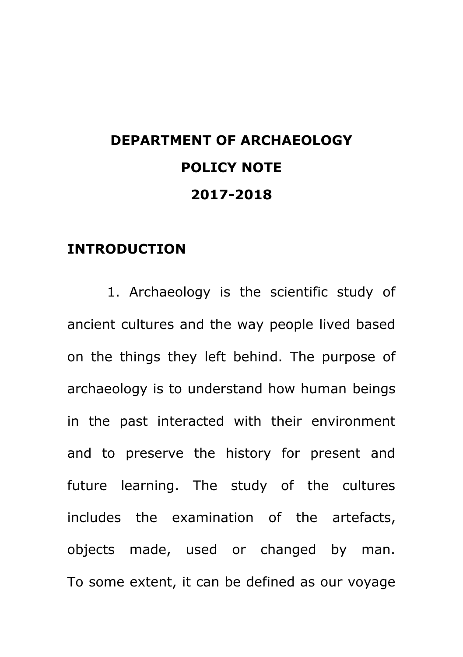# **DEPARTMENT OF ARCHAEOLOGY POLICY NOTE 2017-2018**

### **INTRODUCTION**

1. Archaeology is the scientific study of ancient cultures and the way people lived based on the things they left behind. The purpose of archaeology is to understand how human beings in the past interacted with their environment and to preserve the history for present and future learning. The study of the cultures includes the examination of the artefacts, objects made, used or changed by man. To some extent, it can be defined as our voyage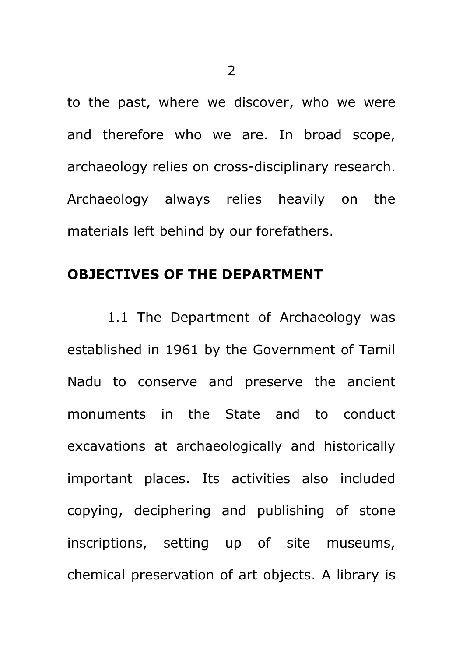to the past, where we discover, who we were and therefore who we are. In broad scope, archaeology relies on cross-disciplinary research. Archaeology always relies heavily on the materials left behind by our forefathers.

#### **OBJECTIVES OF THE DEPARTMENT**

1.1 The Department of Archaeology was established in 1961 by the Government of Tamil Nadu to conserve and preserve the ancient monuments in the State and to conduct excavations at archaeologically and historically important places. Its activities also included copying, deciphering and publishing of stone inscriptions, setting up of site museums, chemical preservation of art objects. A library is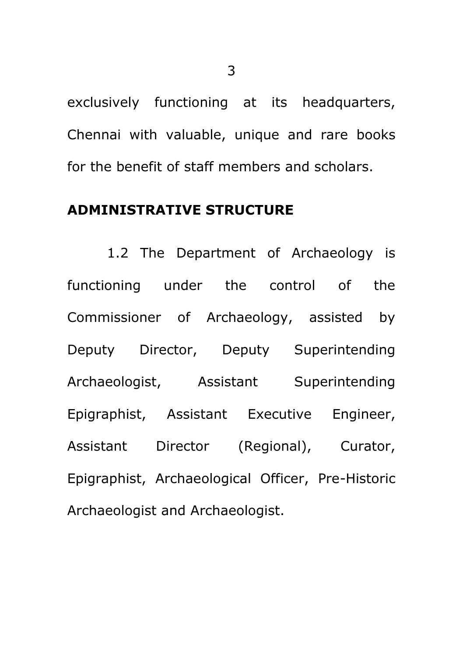exclusively functioning at its headquarters, Chennai with valuable, unique and rare books for the benefit of staff members and scholars.

### **ADMINISTRATIVE STRUCTURE**

1.2 The Department of Archaeology is functioning under the control of the Commissioner of Archaeology, assisted by Deputy Director, Deputy Superintending Archaeologist, Assistant Superintending Epigraphist, Assistant Executive Engineer, Assistant Director (Regional), Curator, Epigraphist, Archaeological Officer, Pre-Historic Archaeologist and Archaeologist.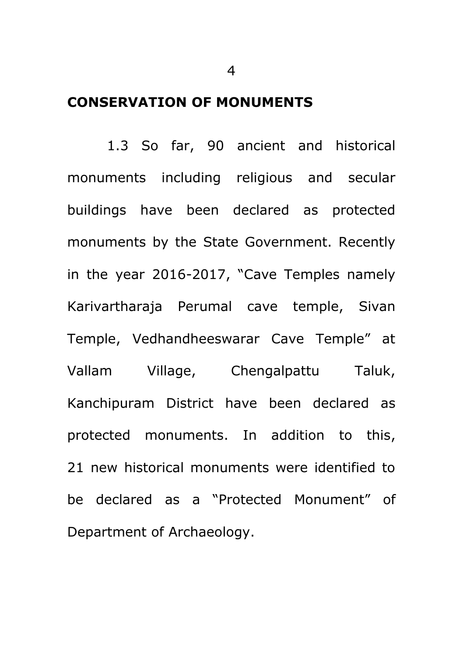### **CONSERVATION OF MONUMENTS**

1.3 So far, 90 ancient and historical monuments including religious and secular buildings have been declared as protected monuments by the State Government. Recently in the year 2016-2017, "Cave Temples namely Karivartharaja Perumal cave temple, Sivan Temple, Vedhandheeswarar Cave Temple" at Vallam Village, Chengalpattu Taluk, Kanchipuram District have been declared as protected monuments. In addition to this, 21 new historical monuments were identified to be declared as a "Protected Monument" of Department of Archaeology.

4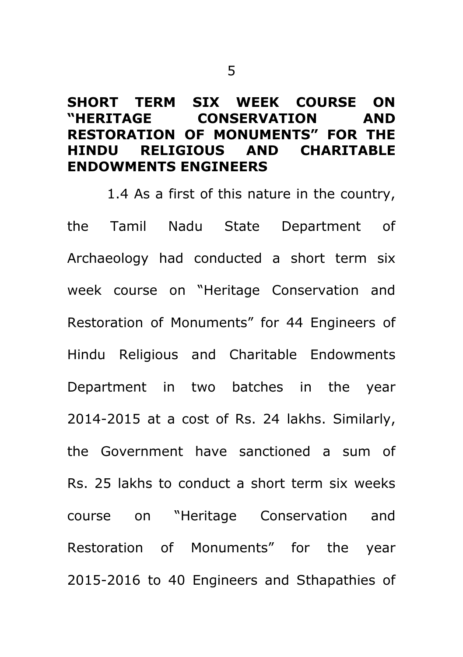### **SHORT TERM SIX WEEK COURSE ON "HERITAGE CONSERVATION AND RESTORATION OF MONUMENTS" FOR THE HINDU RELIGIOUS AND CHARITABLE ENDOWMENTS ENGINEERS**

1.4 As a first of this nature in the country, the Tamil Nadu State Department of Archaeology had conducted a short term six week course on "Heritage Conservation and Restoration of Monuments" for 44 Engineers of Hindu Religious and Charitable Endowments Department in two batches in the year 2014-2015 at a cost of Rs. 24 lakhs. Similarly, the Government have sanctioned a sum of Rs. 25 lakhs to conduct a short term six weeks course on "Heritage Conservation and Restoration of Monuments" for the year 2015-2016 to 40 Engineers and Sthapathies of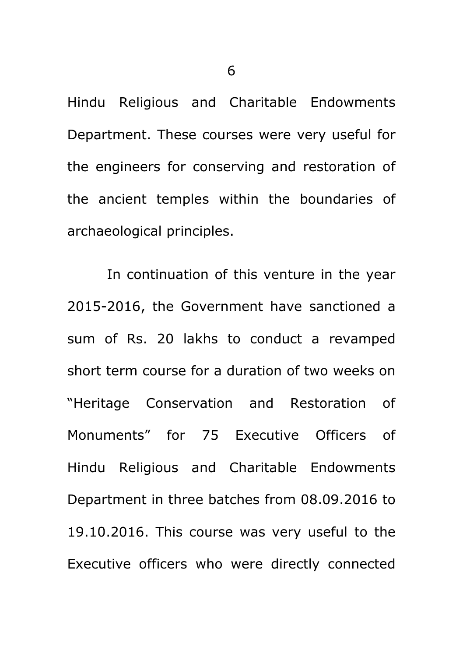Hindu Religious and Charitable Endowments Department. These courses were very useful for the engineers for conserving and restoration of the ancient temples within the boundaries of archaeological principles.

In continuation of this venture in the year 2015-2016, the Government have sanctioned a sum of Rs. 20 lakhs to conduct a revamped short term course for a duration of two weeks on "Heritage Conservation and Restoration of Monuments" for 75 Executive Officers of Hindu Religious and Charitable Endowments Department in three batches from 08.09.2016 to 19.10.2016. This course was very useful to the Executive officers who were directly connected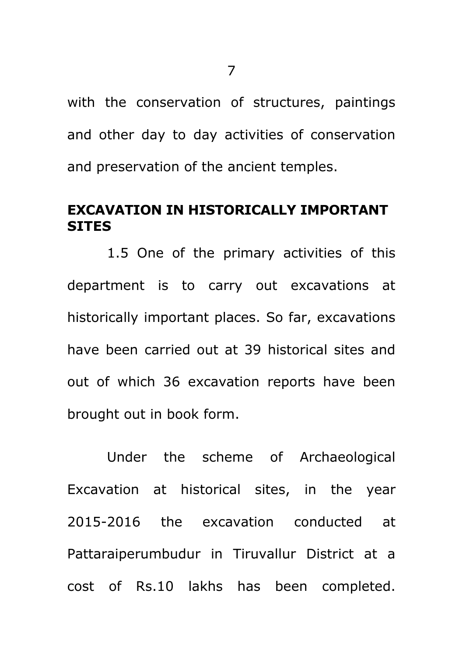with the conservation of structures, paintings and other day to day activities of conservation and preservation of the ancient temples.

### **EXCAVATION IN HISTORICALLY IMPORTANT SITES**

1.5 One of the primary activities of this department is to carry out excavations at historically important places. So far, excavations have been carried out at 39 historical sites and out of which 36 excavation reports have been brought out in book form.

Under the scheme of Archaeological Excavation at historical sites, in the year 2015-2016 the excavation conducted at Pattaraiperumbudur in Tiruvallur District at a cost of Rs.10 lakhs has been completed.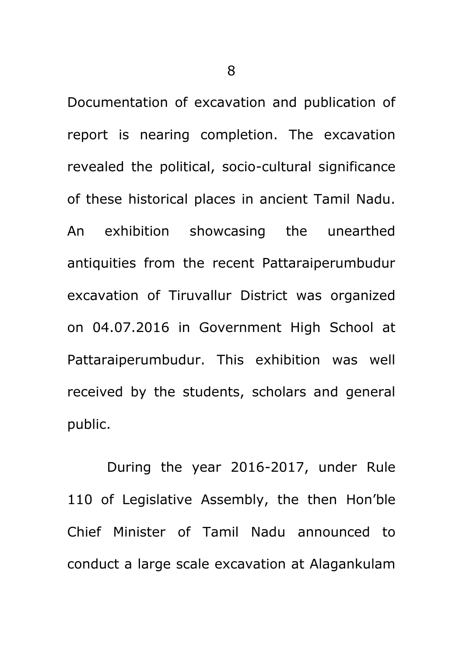8

Documentation of excavation and publication of report is nearing completion. The excavation revealed the political, socio-cultural significance of these historical places in ancient Tamil Nadu. An exhibition showcasing the unearthed antiquities from the recent Pattaraiperumbudur excavation of Tiruvallur District was organized on 04.07.2016 in Government High School at Pattaraiperumbudur. This exhibition was well received by the students, scholars and general public.

During the year 2016-2017, under Rule 110 of Legislative Assembly, the then Hon"ble Chief Minister of Tamil Nadu announced to conduct a large scale excavation at Alagankulam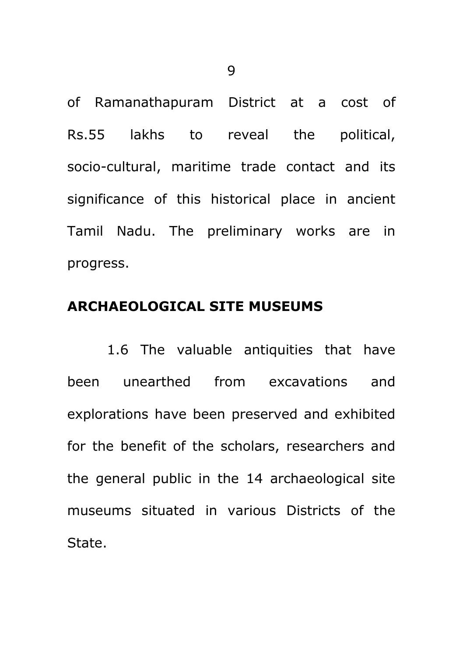of Ramanathapuram District at a cost of Rs.55 lakhs to reveal the political, socio-cultural, maritime trade contact and its significance of this historical place in ancient Tamil Nadu. The preliminary works are in progress.

### **ARCHAEOLOGICAL SITE MUSEUMS**

1.6 The valuable antiquities that have been unearthed from excavations and explorations have been preserved and exhibited for the benefit of the scholars, researchers and the general public in the 14 archaeological site museums situated in various Districts of the State.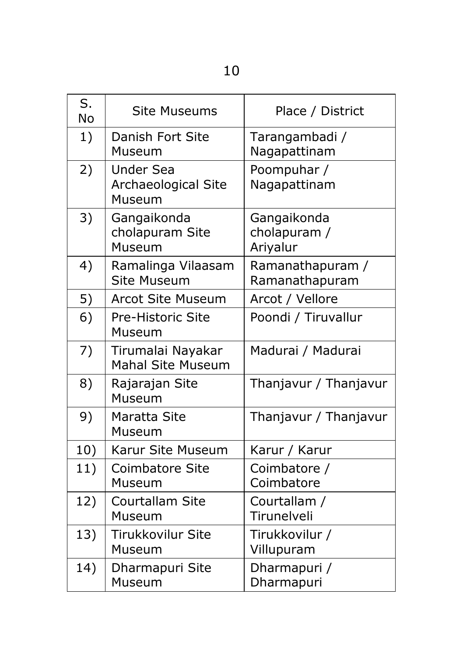| I<br>۰.<br>۰. |
|---------------|

| S.<br><b>No</b> | <b>Site Museums</b>                               | Place / District                        |
|-----------------|---------------------------------------------------|-----------------------------------------|
| 1)              | Danish Fort Site<br>Museum                        | Tarangambadi /<br>Nagapattinam          |
| 2)              | <b>Under Sea</b><br>Archaeological Site<br>Museum | Poompuhar /<br>Nagapattinam             |
| 3)              | Gangaikonda<br>cholapuram Site<br>Museum          | Gangaikonda<br>cholapuram /<br>Ariyalur |
| 4)              | Ramalinga Vilaasam<br><b>Site Museum</b>          | Ramanathapuram /<br>Ramanathapuram      |
| 5)              | <b>Arcot Site Museum</b>                          | Arcot / Vellore                         |
| 6)              | Pre-Historic Site<br>Museum                       | Poondi / Tiruvallur                     |
| 7)              | Tirumalai Nayakar<br><b>Mahal Site Museum</b>     | Madurai / Madurai                       |
| 8)              | Rajarajan Site<br>Museum                          | Thanjavur / Thanjavur                   |
| 9)              | Maratta Site<br>Museum                            | Thanjavur / Thanjavur                   |
| 10)             | Karur Site Museum                                 | Karur / Karur                           |
| 11)             | <b>Coimbatore Site</b><br>Museum                  | Coimbatore /<br>Coimbatore              |
| 12)             | Courtallam Site<br>Museum                         | Courtallam /<br>Tirunelveli             |
| 13)             | <b>Tirukkovilur Site</b><br>Museum                | Tirukkovilur /<br>Villupuram            |
| 14)             | Dharmapuri Site<br>Museum                         | Dharmapuri /<br>Dharmapuri              |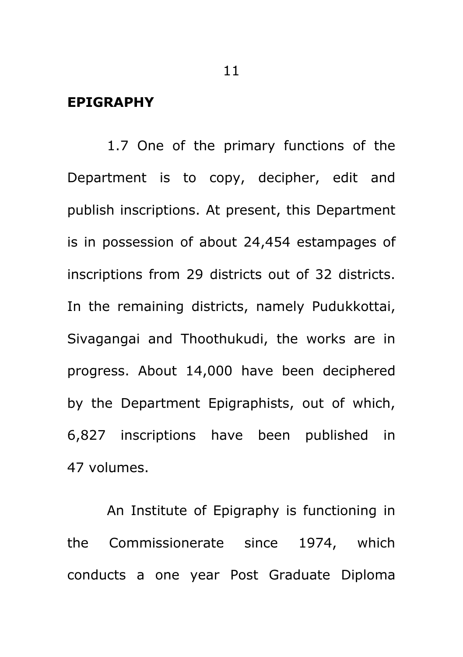#### **EPIGRAPHY**

1.7 One of the primary functions of the Department is to copy, decipher, edit and publish inscriptions. At present, this Department is in possession of about 24,454 estampages of inscriptions from 29 districts out of 32 districts. In the remaining districts, namely Pudukkottai, Sivagangai and Thoothukudi, the works are in progress. About 14,000 have been deciphered by the Department Epigraphists, out of which, 6,827 inscriptions have been published in 47 volumes.

An Institute of Epigraphy is functioning in the Commissionerate since 1974, which conducts a one year Post Graduate Diploma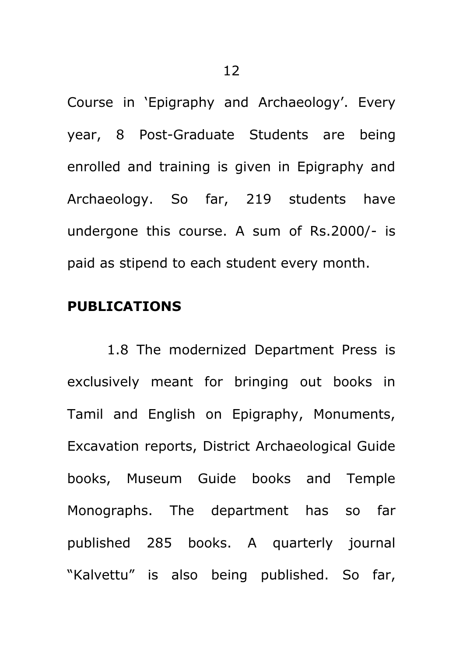Course in 'Epigraphy and Archaeology'. Every year, 8 Post-Graduate Students are being enrolled and training is given in Epigraphy and Archaeology. So far, 219 students have undergone this course. A sum of Rs.2000/- is paid as stipend to each student every month.

#### **PUBLICATIONS**

1.8 The modernized Department Press is exclusively meant for bringing out books in Tamil and English on Epigraphy, Monuments, Excavation reports, District Archaeological Guide books, Museum Guide books and Temple Monographs. The department has so far published 285 books. A quarterly journal "Kalvettu" is also being published. So far,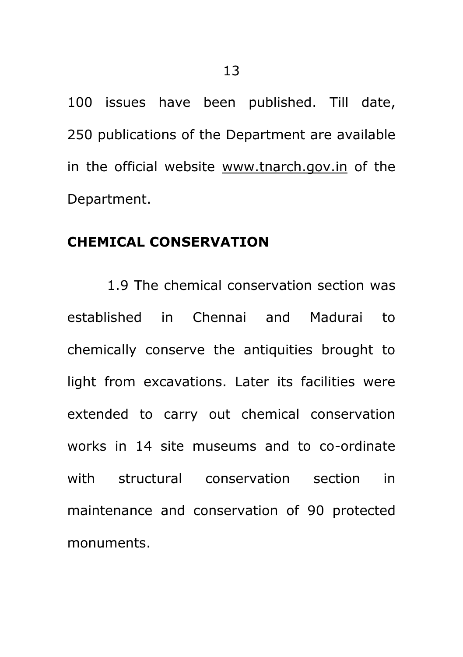100 issues have been published. Till date, 250 publications of the Department are available in the official website [www.tnarch.gov.in](http://www.tnarch.gov.in/) of the Department.

#### **CHEMICAL CONSERVATION**

1.9 The chemical conservation section was established in Chennai and Madurai to chemically conserve the antiquities brought to light from excavations. Later its facilities were extended to carry out chemical conservation works in 14 site museums and to co-ordinate with structural conservation section in maintenance and conservation of 90 protected monuments.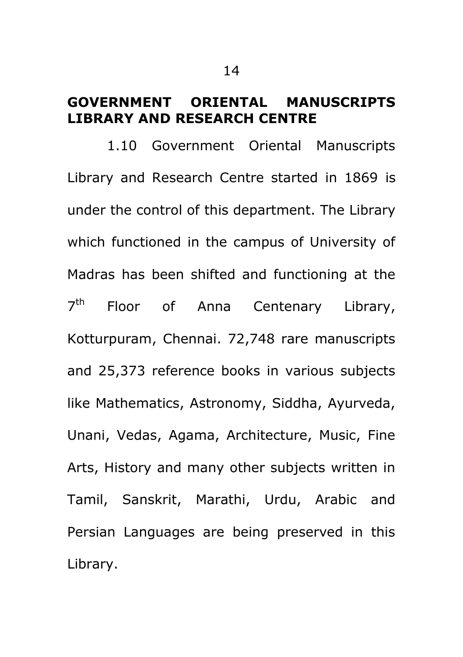### **GOVERNMENT ORIENTAL MANUSCRIPTS LIBRARY AND RESEARCH CENTRE**

1.10 Government Oriental Manuscripts Library and Research Centre started in 1869 is under the control of this department. The Library which functioned in the campus of University of Madras has been shifted and functioning at the  $7<sup>th</sup>$ Floor of Anna Centenary Library, Kotturpuram, Chennai. 72,748 rare manuscripts and 25,373 reference books in various subjects like Mathematics, Astronomy, Siddha, Ayurveda, Unani, Vedas, Agama, Architecture, Music, Fine Arts, History and many other subjects written in Tamil, Sanskrit, Marathi, Urdu, Arabic and Persian Languages are being preserved in this Library.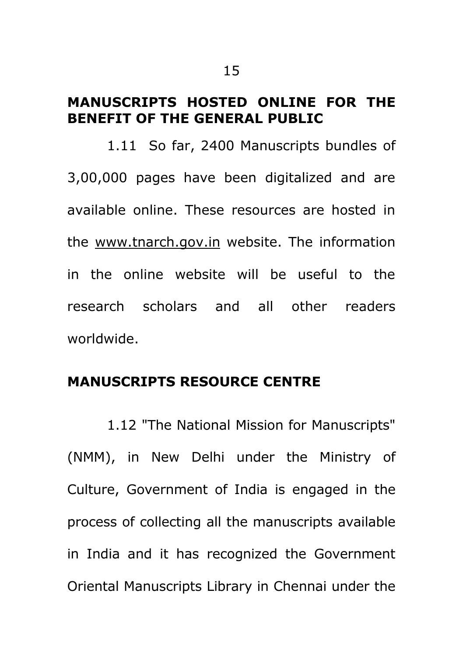### **MANUSCRIPTS HOSTED ONLINE FOR THE BENEFIT OF THE GENERAL PUBLIC**

1.11 So far, 2400 Manuscripts bundles of 3,00,000 pages have been digitalized and are available online. These resources are hosted in the [www.tnarch.gov.in](http://www.tnarch.gov.in/) website. The information in the online website will be useful to the research scholars and all other readers worldwide.

### **MANUSCRIPTS RESOURCE CENTRE**

1.12 "The National Mission for Manuscripts" (NMM), in New Delhi under the Ministry of Culture, Government of India is engaged in the process of collecting all the manuscripts available in India and it has recognized the Government Oriental Manuscripts Library in Chennai under the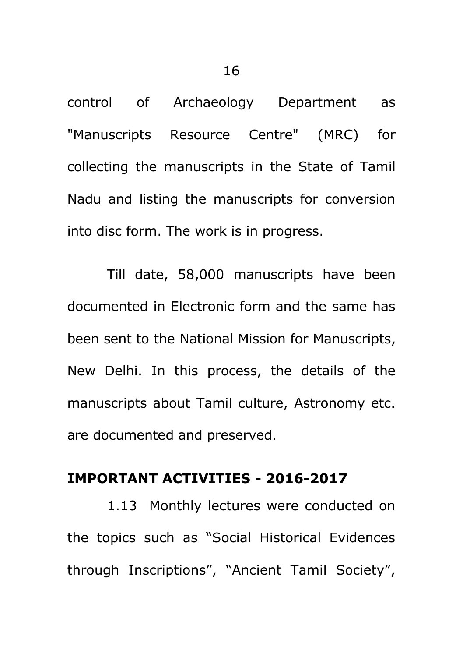control of Archaeology Department as "Manuscripts Resource Centre" (MRC) for collecting the manuscripts in the State of Tamil Nadu and listing the manuscripts for conversion into disc form. The work is in progress.

Till date, 58,000 manuscripts have been documented in Electronic form and the same has been sent to the National Mission for Manuscripts, New Delhi. In this process, the details of the manuscripts about Tamil culture, Astronomy etc. are documented and preserved.

### **IMPORTANT ACTIVITIES - 2016-2017**

1.13 Monthly lectures were conducted on the topics such as "Social Historical Evidences through Inscriptions", "Ancient Tamil Society",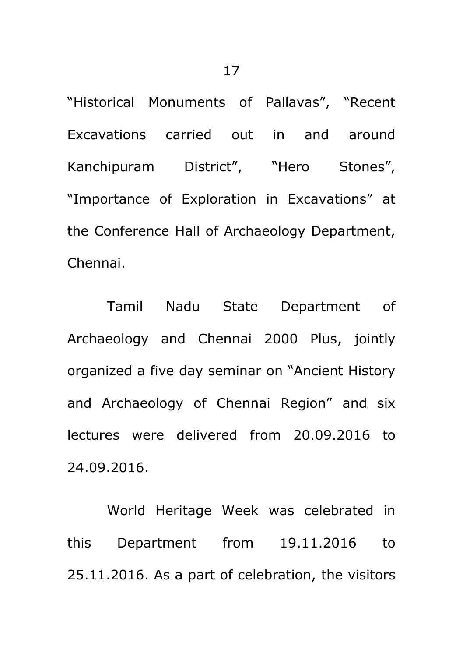"Historical Monuments of Pallavas", "Recent Excavations carried out in and around Kanchipuram District", "Hero Stones", "Importance of Exploration in Excavations" at the Conference Hall of Archaeology Department, Chennai.

Tamil Nadu State Department of Archaeology and Chennai 2000 Plus, jointly organized a five day seminar on "Ancient History and Archaeology of Chennai Region" and six lectures were delivered from 20.09.2016 to 24.09.2016.

World Heritage Week was celebrated in this Department from 19.11.2016 to 25.11.2016. As a part of celebration, the visitors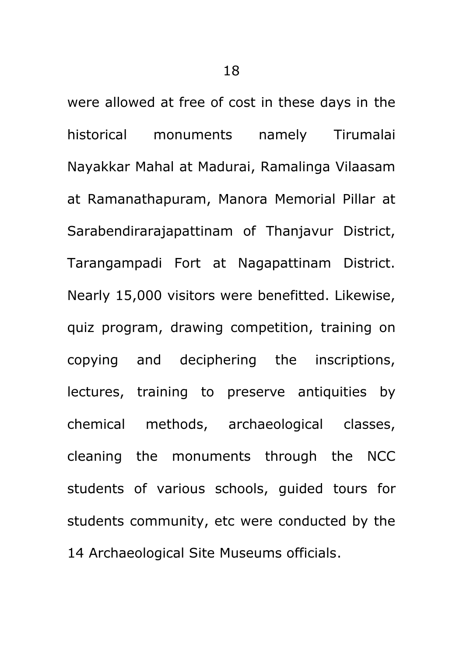were allowed at free of cost in these days in the historical monuments namely Tirumalai Nayakkar Mahal at Madurai, Ramalinga Vilaasam at Ramanathapuram, Manora Memorial Pillar at Sarabendirarajapattinam of Thanjavur District, Tarangampadi Fort at Nagapattinam District. Nearly 15,000 visitors were benefitted. Likewise, quiz program, drawing competition, training on copying and deciphering the inscriptions, lectures, training to preserve antiquities by chemical methods, archaeological classes, cleaning the monuments through the NCC students of various schools, guided tours for students community, etc were conducted by the 14 Archaeological Site Museums officials.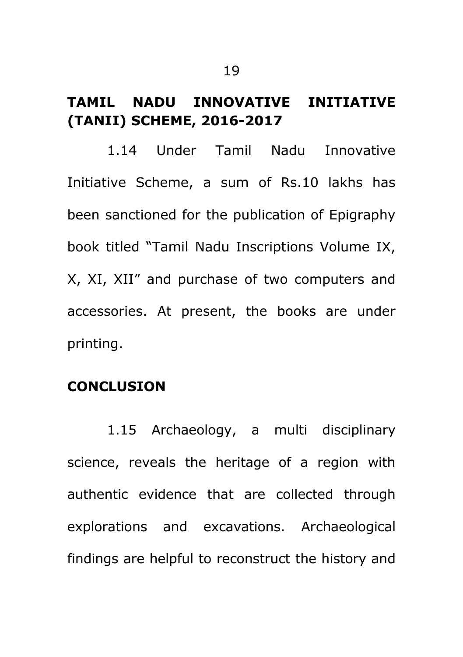### **TAMIL NADU INNOVATIVE INITIATIVE (TANII) SCHEME, 2016-2017**

1.14 Under Tamil Nadu Innovative Initiative Scheme, a sum of Rs.10 lakhs has been sanctioned for the publication of Epigraphy book titled "Tamil Nadu Inscriptions Volume IX, X, XI, XII" and purchase of two computers and accessories. At present, the books are under printing.

### **CONCLUSION**

1.15 Archaeology, a multi disciplinary science, reveals the heritage of a region with authentic evidence that are collected through explorations and excavations. Archaeological findings are helpful to reconstruct the history and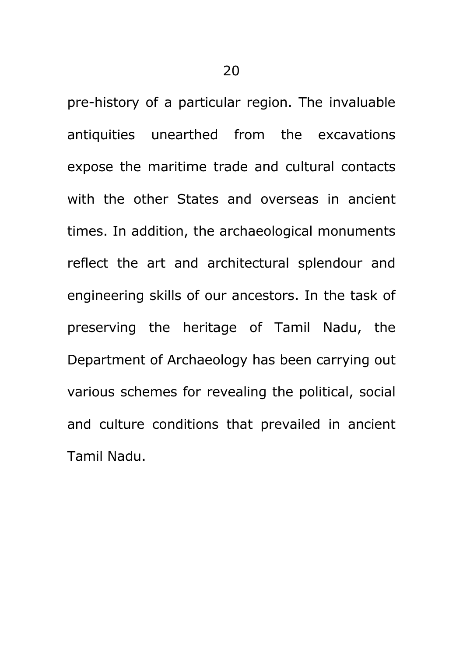pre-history of a particular region. The invaluable antiquities unearthed from the excavations expose the maritime trade and cultural contacts with the other States and overseas in ancient times. In addition, the archaeological monuments reflect the art and architectural splendour and engineering skills of our ancestors. In the task of preserving the heritage of Tamil Nadu, the Department of Archaeology has been carrying out various schemes for revealing the political, social and culture conditions that prevailed in ancient Tamil Nadu.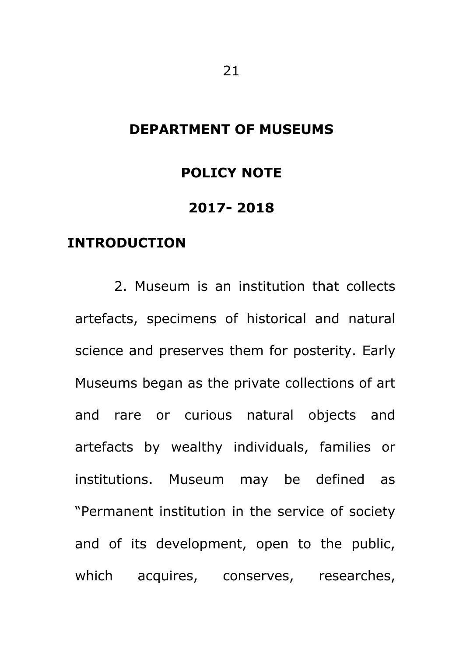### **DEPARTMENT OF MUSEUMS**

#### **POLICY NOTE**

#### **2017- 2018**

### **INTRODUCTION**

2. Museum is an institution that collects artefacts, specimens of historical and natural science and preserves them for posterity. Early Museums began as the private collections of art and rare or curious natural objects and artefacts by wealthy individuals, families or institutions. Museum may be defined as "Permanent institution in the service of society and of its development, open to the public, which acquires, conserves, researches,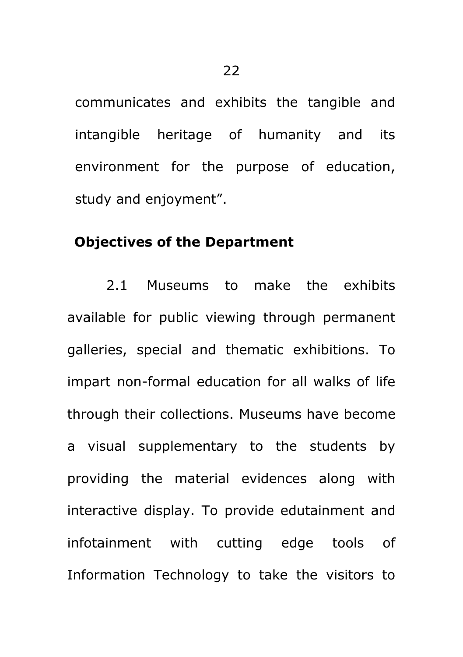communicates and exhibits the tangible and intangible heritage of humanity and its environment for the purpose of education, study and enjoyment".

#### **Objectives of the Department**

2.1 Museums to make the exhibits available for public viewing through permanent galleries, special and thematic exhibitions. To impart non-formal education for all walks of life through their collections. Museums have become a visual supplementary to the students by providing the material evidences along with interactive display. To provide edutainment and infotainment with cutting edge tools of Information Technology to take the visitors to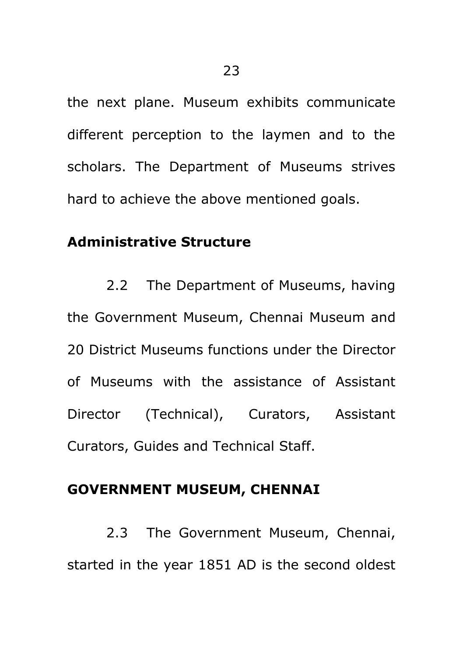the next plane. Museum exhibits communicate different perception to the laymen and to the scholars. The Department of Museums strives hard to achieve the above mentioned goals.

### **Administrative Structure**

2.2 The Department of Museums, having the Government Museum, Chennai Museum and 20 District Museums functions under the Director of Museums with the assistance of Assistant Director (Technical), Curators, Assistant Curators, Guides and Technical Staff.

### **GOVERNMENT MUSEUM, CHENNAI**

2.3 The Government Museum, Chennai, started in the year 1851 AD is the second oldest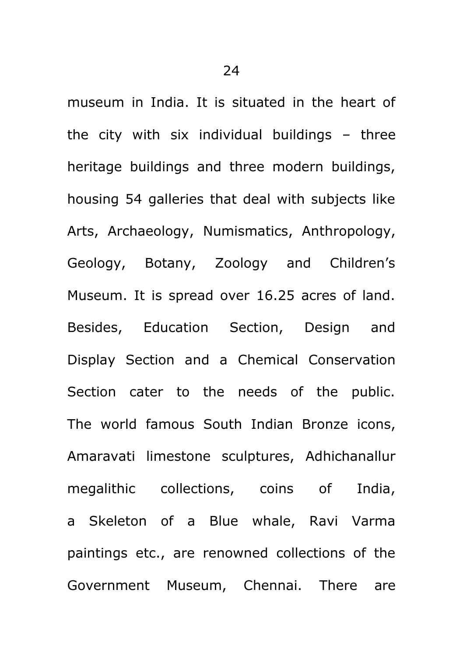museum in India. It is situated in the heart of the city with six individual buildings – three heritage buildings and three modern buildings, housing 54 galleries that deal with subjects like Arts, Archaeology, Numismatics, Anthropology, Geology, Botany, Zoology and Children"s Museum. It is spread over 16.25 acres of land. Besides, Education Section, Design and Display Section and a Chemical Conservation Section cater to the needs of the public. The world famous South Indian Bronze icons, Amaravati limestone sculptures, Adhichanallur megalithic collections, coins of India, a Skeleton of a Blue whale, Ravi Varma paintings etc., are renowned collections of the Government Museum, Chennai. There are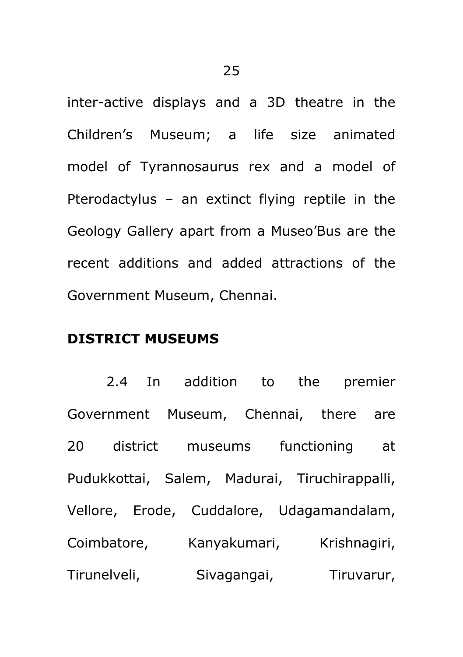inter-active displays and a 3D theatre in the Children"s Museum; a life size animated model of Tyrannosaurus rex and a model of Pterodactylus – an extinct flying reptile in the Geology Gallery apart from a Museo"Bus are the recent additions and added attractions of the Government Museum, Chennai.

### **DISTRICT MUSEUMS**

2.4 In addition to the premier Government Museum, Chennai, there are 20 district museums functioning at Pudukkottai, Salem, Madurai, Tiruchirappalli, Vellore, Erode, Cuddalore, Udagamandalam, Coimbatore, Kanyakumari, Krishnagiri, Tirunelveli, Sivagangai, Tiruvarur,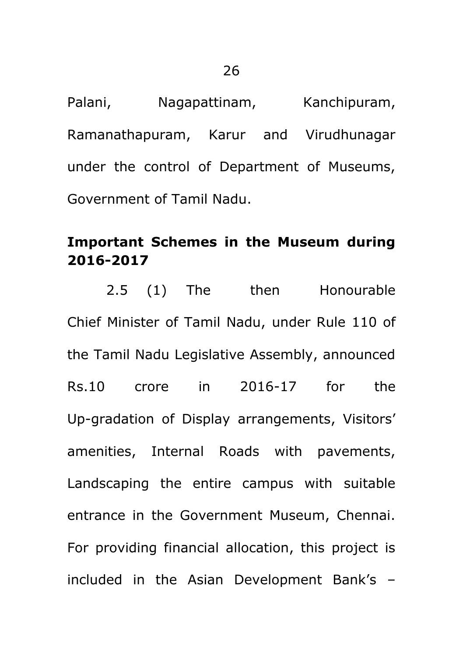Palani, Nagapattinam, Kanchipuram, Ramanathapuram, Karur and Virudhunagar under the control of Department of Museums, Government of Tamil Nadu.

### **Important Schemes in the Museum during 2016-2017**

2.5 (1) The then Honourable Chief Minister of Tamil Nadu, under Rule 110 of the Tamil Nadu Legislative Assembly, announced Rs.10 crore in 2016-17 for the Up-gradation of Display arrangements, Visitors' amenities, Internal Roads with pavements, Landscaping the entire campus with suitable entrance in the Government Museum, Chennai. For providing financial allocation, this project is included in the Asian Development Bank"s –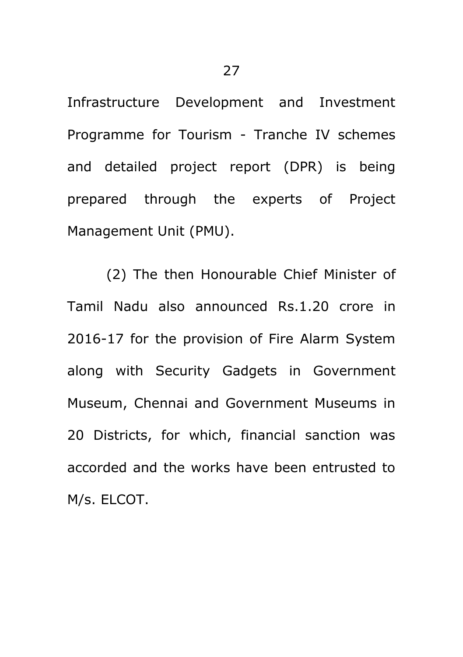Infrastructure Development and Investment Programme for Tourism - Tranche IV schemes and detailed project report (DPR) is being prepared through the experts of Project Management Unit (PMU).

(2) The then Honourable Chief Minister of Tamil Nadu also announced Rs.1.20 crore in 2016-17 for the provision of Fire Alarm System along with Security Gadgets in Government Museum, Chennai and Government Museums in 20 Districts, for which, financial sanction was accorded and the works have been entrusted to M/s. ELCOT.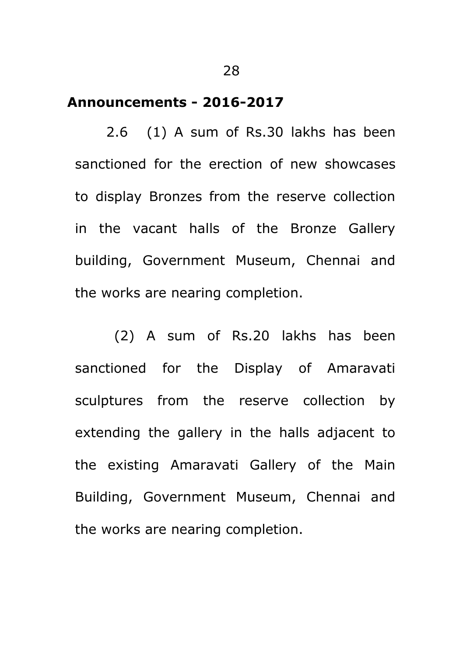#### **Announcements - 2016-2017**

2.6 (1) A sum of Rs.30 lakhs has been sanctioned for the erection of new showcases to display Bronzes from the reserve collection in the vacant halls of the Bronze Gallery building, Government Museum, Chennai and the works are nearing completion.

(2) A sum of Rs.20 lakhs has been sanctioned for the Display of Amaravati sculptures from the reserve collection by extending the gallery in the halls adjacent to the existing Amaravati Gallery of the Main Building, Government Museum, Chennai and the works are nearing completion.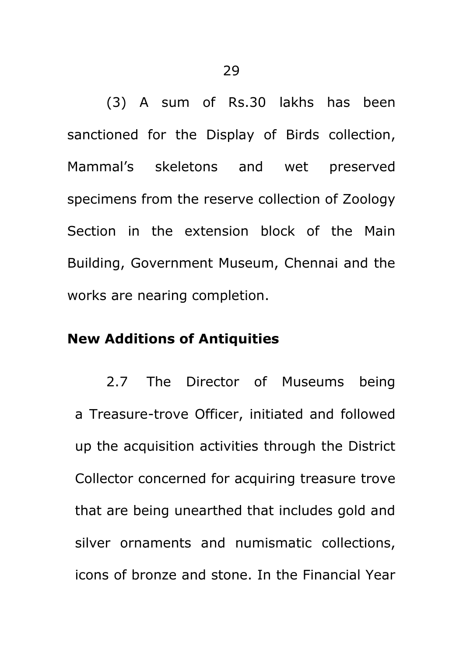(3) A sum of Rs.30 lakhs has been sanctioned for the Display of Birds collection, Mammal"s skeletons and wet preserved specimens from the reserve collection of Zoology Section in the extension block of the Main Building, Government Museum, Chennai and the works are nearing completion.

#### **New Additions of Antiquities**

2.7 The Director of Museums being a Treasure-trove Officer, initiated and followed up the acquisition activities through the District Collector concerned for acquiring treasure trove that are being unearthed that includes gold and silver ornaments and numismatic collections, icons of bronze and stone. In the Financial Year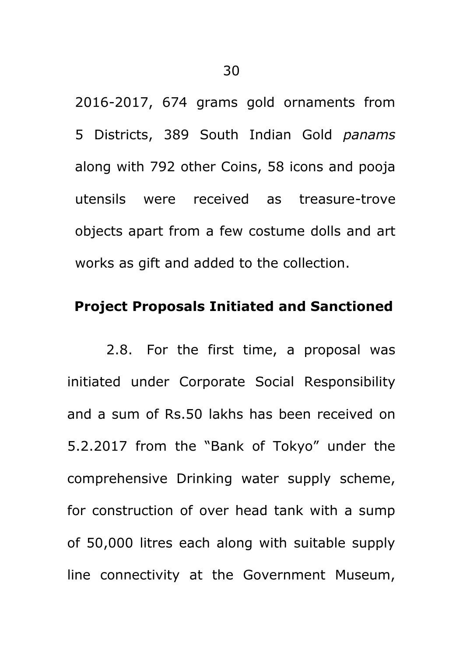2016-2017, 674 grams gold ornaments from 5 Districts, 389 South Indian Gold *panams*  along with 792 other Coins, 58 icons and pooja utensils were received as treasure-trove objects apart from a few costume dolls and art works as gift and added to the collection.

### **Project Proposals Initiated and Sanctioned**

2.8. For the first time, a proposal was initiated under Corporate Social Responsibility and a sum of Rs.50 lakhs has been received on 5.2.2017 from the "Bank of Tokyo" under the comprehensive Drinking water supply scheme, for construction of over head tank with a sump of 50,000 litres each along with suitable supply line connectivity at the Government Museum,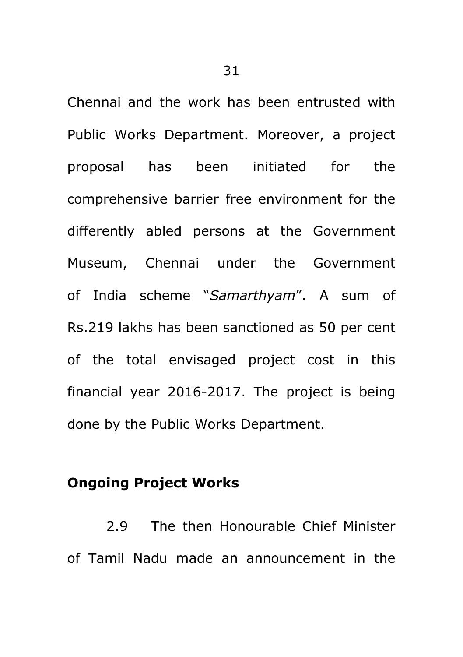Chennai and the work has been entrusted with Public Works Department. Moreover, a project proposal has been initiated for the comprehensive barrier free environment for the differently abled persons at the Government Museum, Chennai under the Government of India scheme "*Samarthyam*". A sum of Rs.219 lakhs has been sanctioned as 50 per cent of the total envisaged project cost in this financial year 2016-2017. The project is being done by the Public Works Department.

### **Ongoing Project Works**

2.9 The then Honourable Chief Minister of Tamil Nadu made an announcement in the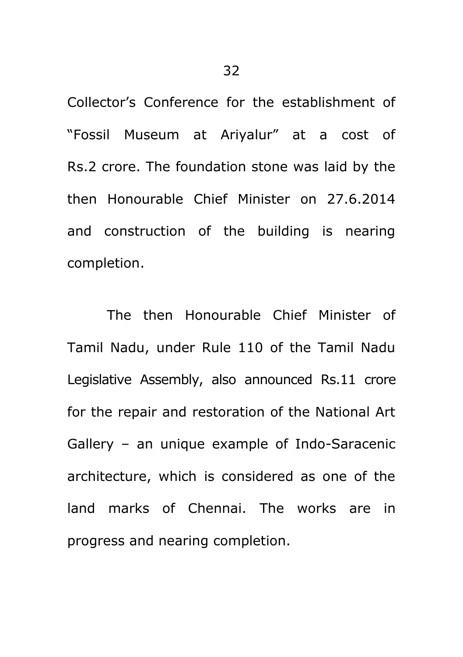Collector"s Conference for the establishment of "Fossil Museum at Ariyalur" at a cost of Rs.2 crore. The foundation stone was laid by the then Honourable Chief Minister on 27.6.2014 and construction of the building is nearing completion.

The then Honourable Chief Minister of Tamil Nadu, under Rule 110 of the Tamil Nadu Legislative Assembly, also announced Rs.11 crore for the repair and restoration of the National Art Gallery – an unique example of Indo-Saracenic architecture, which is considered as one of the land marks of Chennai. The works are in progress and nearing completion.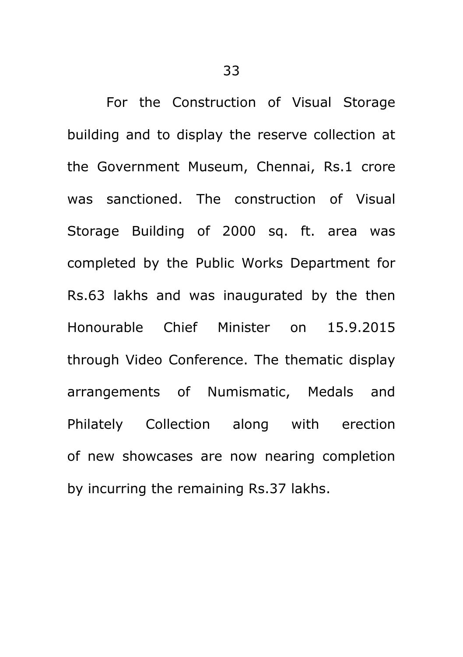For the Construction of Visual Storage building and to display the reserve collection at the Government Museum, Chennai, Rs.1 crore was sanctioned. The construction of Visual Storage Building of 2000 sq. ft. area was completed by the Public Works Department for Rs.63 lakhs and was inaugurated by the then Honourable Chief Minister on 15.9.2015 through Video Conference. The thematic display arrangements of Numismatic, Medals and Philately Collection along with erection of new showcases are now nearing completion by incurring the remaining Rs.37 lakhs.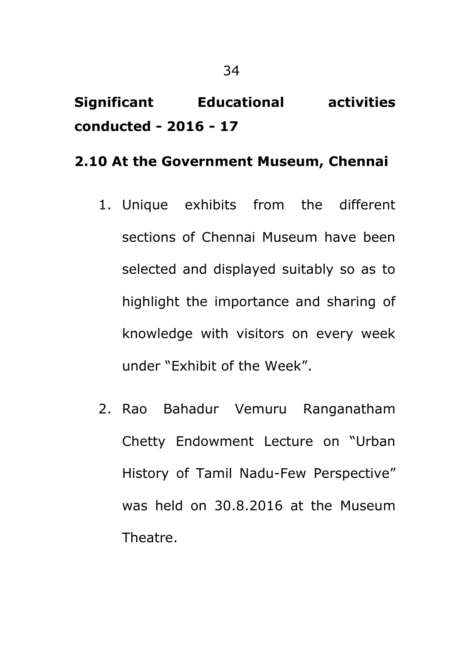## **Significant Educational activities conducted - 2016 - 17**

### **2.10 At the Government Museum, Chennai**

- 1. Unique exhibits from the different sections of Chennai Museum have been selected and displayed suitably so as to highlight the importance and sharing of knowledge with visitors on every week under "Exhibit of the Week".
- 2. Rao Bahadur Vemuru Ranganatham Chetty Endowment Lecture on "Urban History of Tamil Nadu-Few Perspective" was held on 30.8.2016 at the Museum Theatre.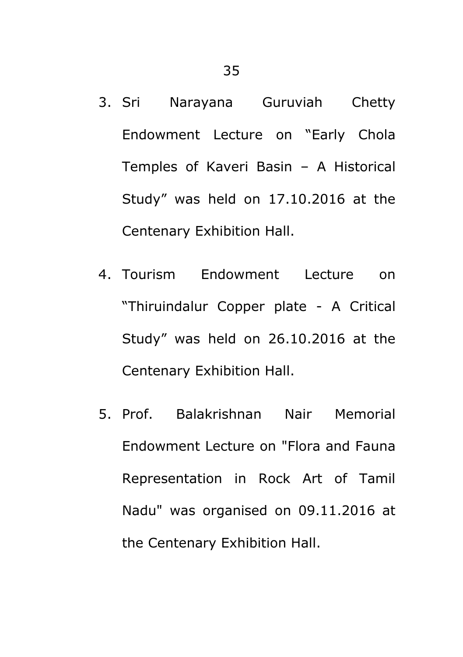- 3. Sri Narayana Guruviah Chetty Endowment Lecture on "Early Chola Temples of Kaveri Basin – A Historical Study" was held on 17.10.2016 at the Centenary Exhibition Hall.
- 4. Tourism Endowment Lecture on "Thiruindalur Copper plate - A Critical Study" was held on 26.10.2016 at the Centenary Exhibition Hall.
- 5. Prof. Balakrishnan Nair Memorial Endowment Lecture on "Flora and Fauna Representation in Rock Art of Tamil Nadu" was organised on 09.11.2016 at the Centenary Exhibition Hall.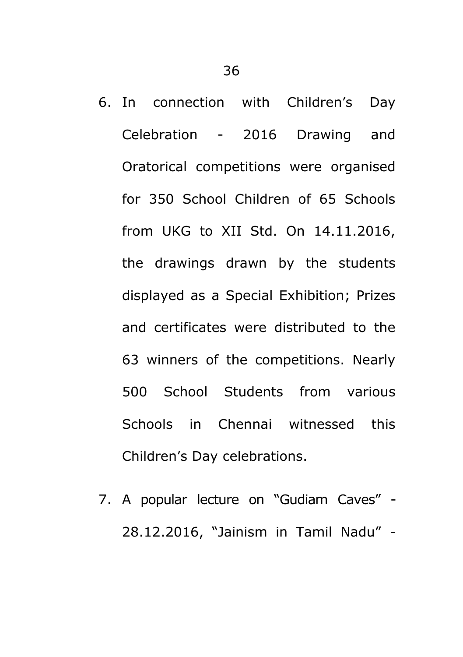- 6. In connection with Children"s Day Celebration - 2016 Drawing and Oratorical competitions were organised for 350 School Children of 65 Schools from UKG to XII Std. On 14.11.2016, the drawings drawn by the students displayed as a Special Exhibition; Prizes and certificates were distributed to the 63 winners of the competitions. Nearly 500 School Students from various Schools in Chennai witnessed this Children"s Day celebrations.
- 7. A popular lecture on "Gudiam Caves" 28.12.2016, "Jainism in Tamil Nadu" -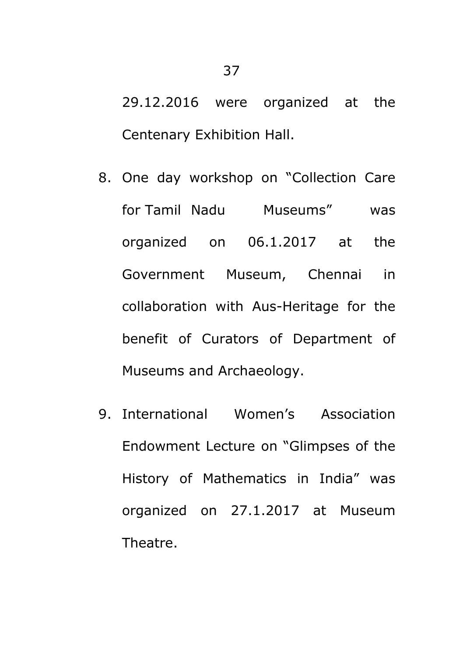29.12.2016 were organized at the Centenary Exhibition Hall.

- 8. One day workshop on "Collection Care for Tamil Nadu Museums" was organized on 06.1.2017 at the Government Museum, Chennai in collaboration with Aus-Heritage for the benefit of Curators of Department of Museums and Archaeology.
- 9. International Women"s Association Endowment Lecture on "Glimpses of the History of Mathematics in India" was organized on 27.1.2017 at Museum Theatre.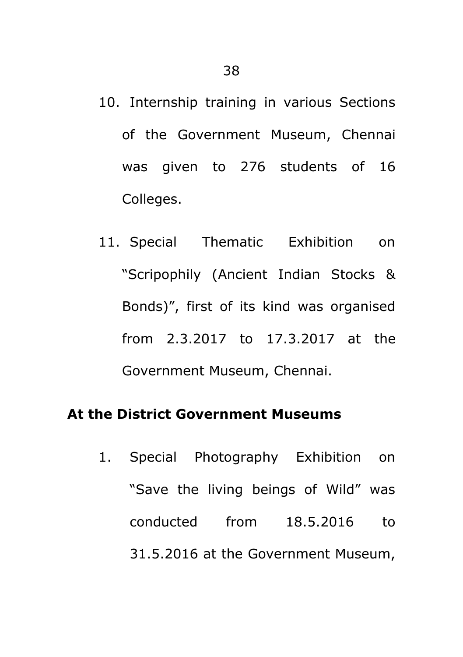- 10. Internship training in various Sections of the Government Museum, Chennai was given to 276 students of 16 Colleges.
- 11. Special Thematic Exhibition on "Scripophily (Ancient Indian Stocks & Bonds)", first of its kind was organised from 2.3.2017 to 17.3.2017 at the Government Museum, Chennai.

### **At the District Government Museums**

1. Special Photography Exhibition on "Save the living beings of Wild" was conducted from 18.5.2016 to 31.5.2016 at the Government Museum,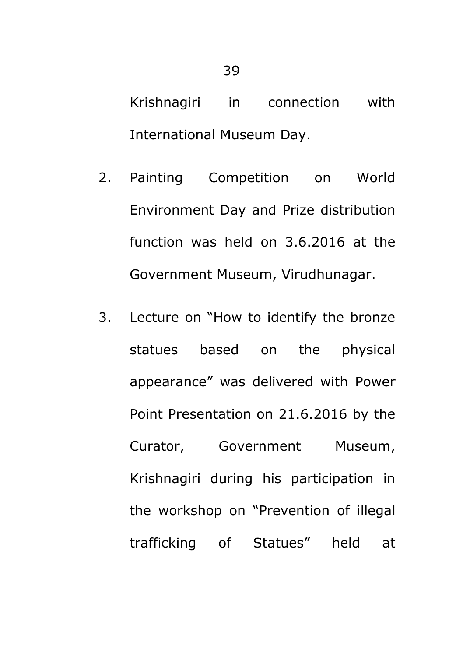Krishnagiri in connection with International Museum Day.

- 2. Painting Competition on World Environment Day and Prize distribution function was held on 3.6.2016 at the Government Museum, Virudhunagar.
- 3. Lecture on "How to identify the bronze statues based on the physical appearance" was delivered with Power Point Presentation on 21.6.2016 by the Curator, Government Museum, Krishnagiri during his participation in the workshop on "Prevention of illegal trafficking of Statues" held at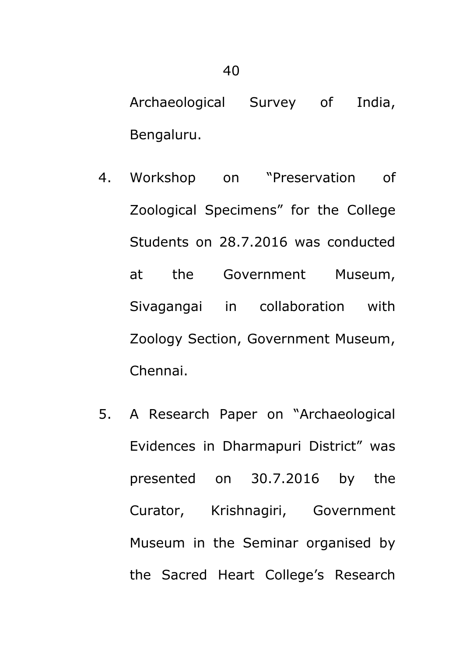Archaeological Survey of India, Bengaluru.

- 4. Workshop on "Preservation of Zoological Specimens" for the College Students on 28.7.2016 was conducted at the Government Museum, Sivagangai in collaboration with Zoology Section, Government Museum, Chennai.
- 5. A Research Paper on "Archaeological Evidences in Dharmapuri District" was presented on 30.7.2016 by the Curator, Krishnagiri, Government Museum in the Seminar organised by the Sacred Heart College"s Research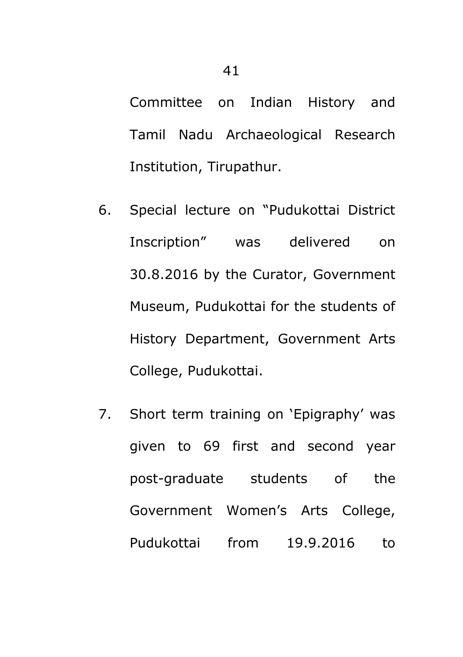Committee on Indian History and Tamil Nadu Archaeological Research Institution, Tirupathur.

- 6. Special lecture on "Pudukottai District Inscription" was delivered on 30.8.2016 by the Curator, Government Museum, Pudukottai for the students of History Department, Government Arts College, Pudukottai.
- 7. Short term training on 'Epigraphy' was given to 69 first and second year post-graduate students of the Government Women"s Arts College, Pudukottai from 19.9.2016 to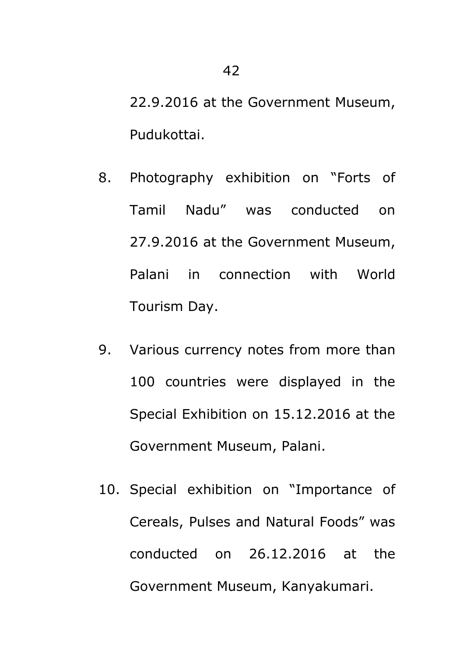22.9.2016 at the Government Museum, Pudukottai.

- 8. Photography exhibition on "Forts of Tamil Nadu" was conducted on 27.9.2016 at the Government Museum, Palani in connection with World Tourism Day.
- 9. Various currency notes from more than 100 countries were displayed in the Special Exhibition on 15.12.2016 at the Government Museum, Palani.
- 10. Special exhibition on "Importance of Cereals, Pulses and Natural Foods" was conducted on 26.12.2016 at the Government Museum, Kanyakumari.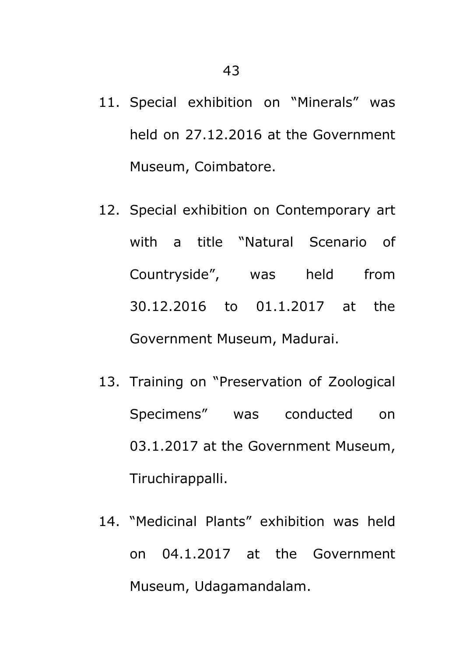- 11. Special exhibition on "Minerals" was held on 27.12.2016 at the Government Museum, Coimbatore.
- 12. Special exhibition on Contemporary art with a title "Natural Scenario of Countryside", was held from 30.12.2016 to 01.1.2017 at the Government Museum, Madurai.
- 13. Training on "Preservation of Zoological Specimens" was conducted on 03.1.2017 at the Government Museum, Tiruchirappalli.
- 14. "Medicinal Plants" exhibition was held on 04.1.2017 at the Government Museum, Udagamandalam.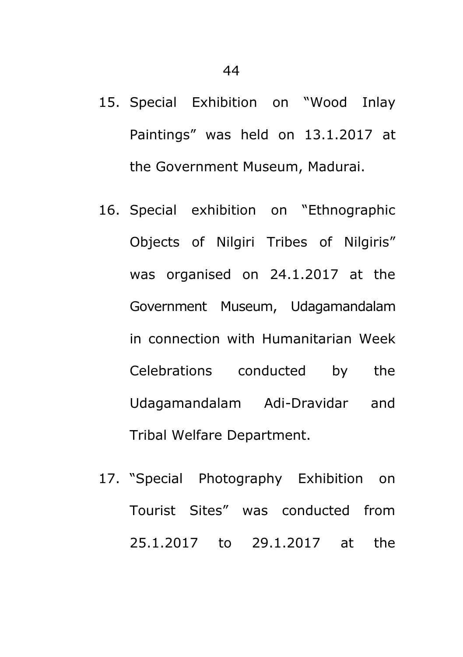- 15. Special Exhibition on "Wood Inlay Paintings" was held on 13.1.2017 at the Government Museum, Madurai.
- 16. Special exhibition on "Ethnographic Objects of Nilgiri Tribes of Nilgiris" was organised on 24.1.2017 at the Government Museum, Udagamandalam in connection with Humanitarian Week Celebrations conducted by the Udagamandalam Adi-Dravidar and Tribal Welfare Department.
- 17. "Special Photography Exhibition on Tourist Sites" was conducted from 25.1.2017 to 29.1.2017 at the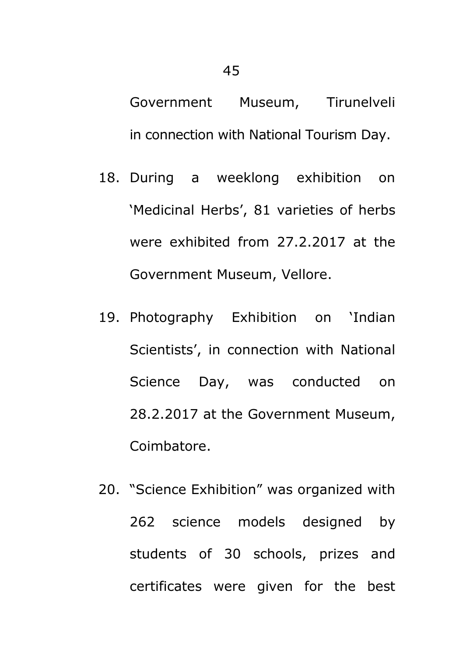Government Museum, Tirunelveli in connection with National Tourism Day.

- 18. During a weeklong exhibition on 'Medicinal Herbs', 81 varieties of herbs were exhibited from 27.2.2017 at the Government Museum, Vellore.
- 19. Photography Exhibition on "Indian Scientists", in connection with National Science Day, was conducted on 28.2.2017 at the Government Museum, Coimbatore.
- 20. "Science Exhibition" was organized with 262 science models designed by students of 30 schools, prizes and certificates were given for the best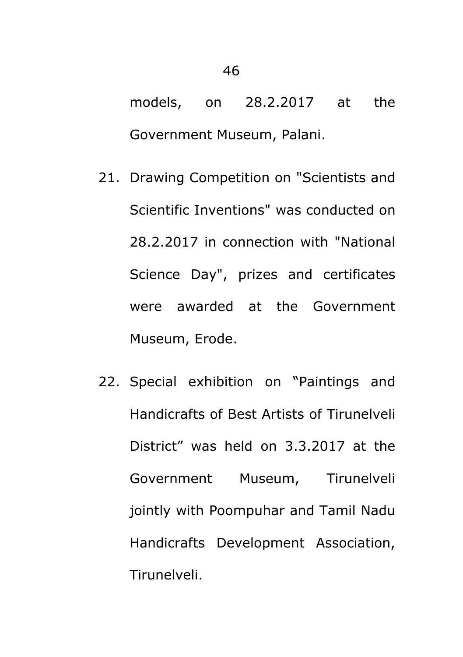models, on 28.2.2017 at the Government Museum, Palani.

- 21. Drawing Competition on "Scientists and Scientific Inventions" was conducted on 28.2.2017 in connection with "National Science Day", prizes and certificates were awarded at the Government Museum, Erode.
- 22. Special exhibition on "Paintings and Handicrafts of Best Artists of Tirunelveli District" was held on 3.3.2017 at the Government Museum, Tirunelveli jointly with Poompuhar and Tamil Nadu Handicrafts Development Association, Tirunelveli.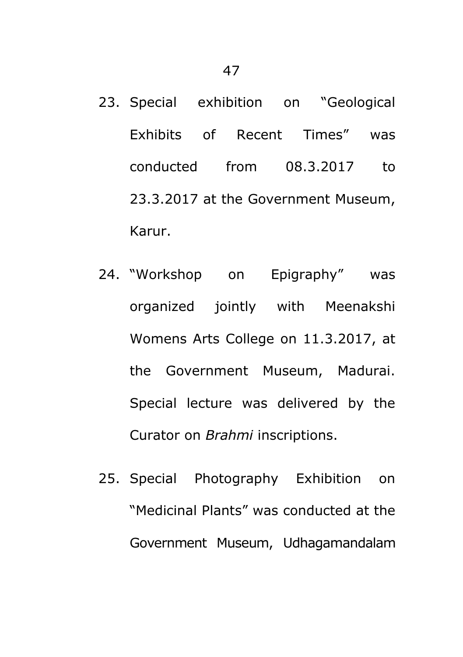- 23. Special exhibition on "Geological Exhibits of Recent Times" was conducted from 08.3.2017 to 23.3.2017 at the Government Museum, Karur.
- 24. "Workshop on Epigraphy" was organized jointly with Meenakshi Womens Arts College on 11.3.2017, at the Government Museum, Madurai. Special lecture was delivered by the Curator on *Brahmi* inscriptions.
- 25. Special Photography Exhibition on "Medicinal Plants" was conducted at the Government Museum, Udhagamandalam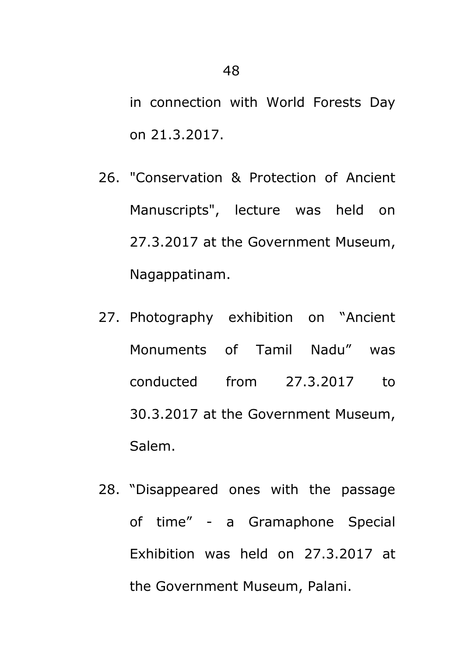in connection with World Forests Day on 21.3.2017.

- 26. "Conservation & Protection of Ancient Manuscripts", lecture was held on 27.3.2017 at the Government Museum, Nagappatinam.
- 27. Photography exhibition on "Ancient Monuments of Tamil Nadu" was conducted from 27.3.2017 to 30.3.2017 at the Government Museum, Salem.
- 28. "Disappeared ones with the passage of time" - a Gramaphone Special Exhibition was held on 27.3.2017 at the Government Museum, Palani.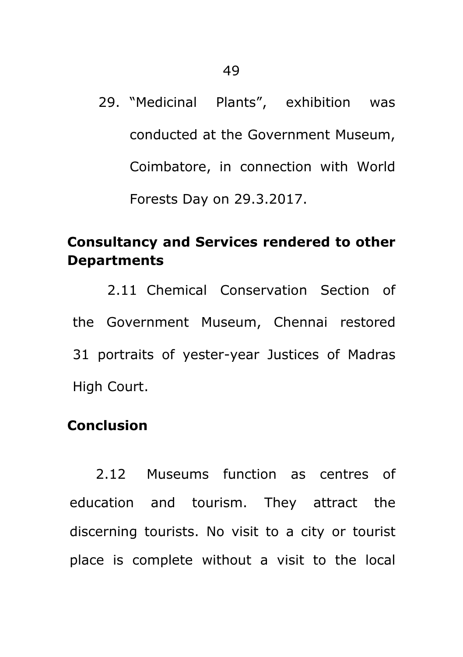29. "Medicinal Plants", exhibition was conducted at the Government Museum, Coimbatore, in connection with World Forests Day on 29.3.2017.

### **Consultancy and Services rendered to other Departments**

2.11 Chemical Conservation Section of the Government Museum, Chennai restored 31 portraits of yester-year Justices of Madras High Court.

### **Conclusion**

2.12 Museums function as centres of education and tourism. They attract the discerning tourists. No visit to a city or tourist place is complete without a visit to the local